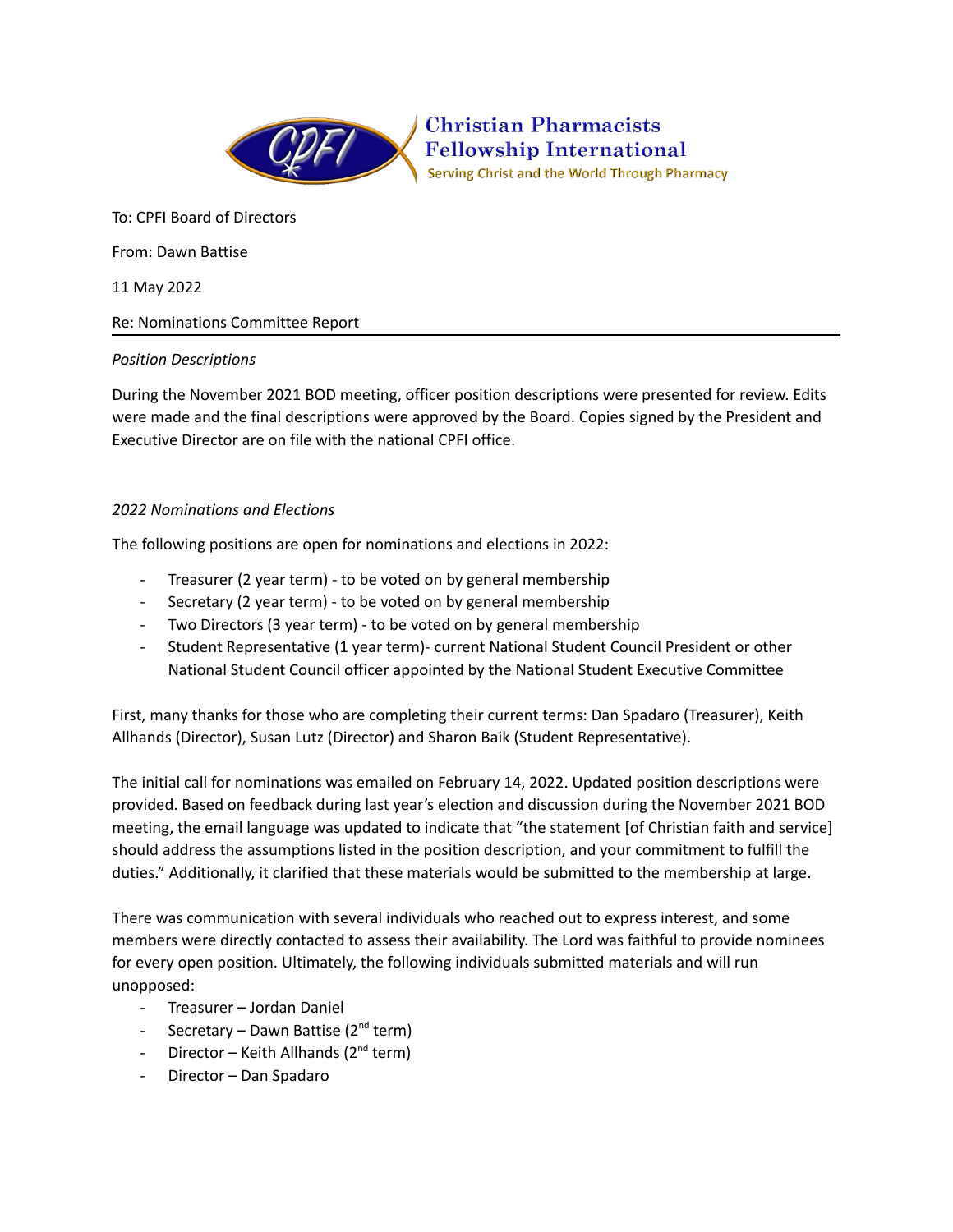

**Christian Pharmacists Fellowship International** Serving Christ and the World Through Pharmacy

To: CPFI Board of Directors

From: Dawn Battise

11 May 2022

Re: Nominations Committee Report

## *Position Descriptions*

During the November 2021 BOD meeting, officer position descriptions were presented for review. Edits were made and the final descriptions were approved by the Board. Copies signed by the President and Executive Director are on file with the national CPFI office.

## *2022 Nominations and Elections*

The following positions are open for nominations and elections in 2022:

- Treasurer (2 year term) to be voted on by general membership
- Secretary (2 year term) to be voted on by general membership
- Two Directors (3 year term) to be voted on by general membership
- Student Representative (1 year term)- current National Student Council President or other National Student Council officer appointed by the National Student Executive Committee

First, many thanks for those who are completing their current terms: Dan Spadaro (Treasurer), Keith Allhands (Director), Susan Lutz (Director) and Sharon Baik (Student Representative).

The initial call for nominations was emailed on February 14, 2022. Updated position descriptions were provided. Based on feedback during last year's election and discussion during the November 2021 BOD meeting, the email language was updated to indicate that "the statement [of Christian faith and service] should address the assumptions listed in the position description, and your commitment to fulfill the duties." Additionally, it clarified that these materials would be submitted to the membership at large.

There was communication with several individuals who reached out to express interest, and some members were directly contacted to assess their availability. The Lord was faithful to provide nominees for every open position. Ultimately, the following individuals submitted materials and will run unopposed:

- Treasurer Jordan Daniel
- Secretary Dawn Battise (2<sup>nd</sup> term)
- Director Keith Allhands (2<sup>nd</sup> term)
- Director Dan Spadaro